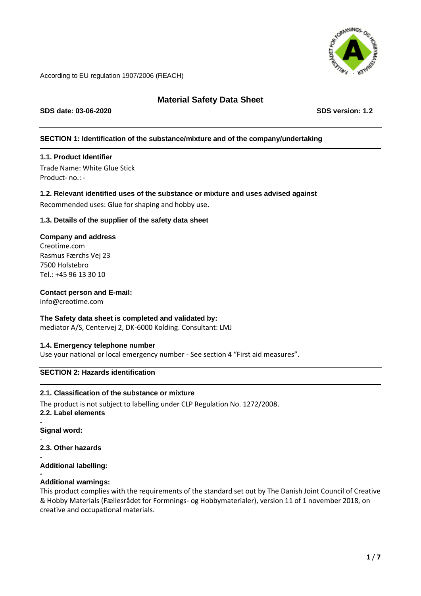

# **Material Safety Data Sheet**

**SDS date: 03-06-2020 SDS version: 1.2**

# **SECTION 1: Identification of the substance/mixture and of the company/undertaking**

# **1.1. Product Identifier**

Trade Name: White Glue Stick Product- no.: -

# **1.2. Relevant identified uses of the substance or mixture and uses advised against**

Recommended uses: Glue for shaping and hobby use.

# **1.3. Details of the supplier of the safety data sheet**

# **Company and address**

Creotime.com Rasmus Færchs Vej 23 7500 Holstebro Tel.: +45 96 13 30 10

# **Contact person and E-mail:**

info@creotime.com

# **The Safety data sheet is completed and validated by:**

mediator A/S, Centervej 2, DK-6000 Kolding. Consultant: LMJ

# **1.4. Emergency telephone number**

Use your national or local emergency number - See section 4 "First aid measures".

# **SECTION 2: Hazards identification**

# **2.1. Classification of the substance or mixture**

The product is not subject to labelling under CLP Regulation No. 1272/2008. **2.2. Label elements**

- **Signal word:**

- **2.3. Other hazards**

- **Additional labelling:**

#### **- Additional warnings:**

This product complies with the requirements of the standard set out by The Danish Joint Council of Creative & Hobby Materials (Fællesrådet for Formnings- og Hobbymaterialer), version 11 of 1 november 2018, on creative and occupational materials.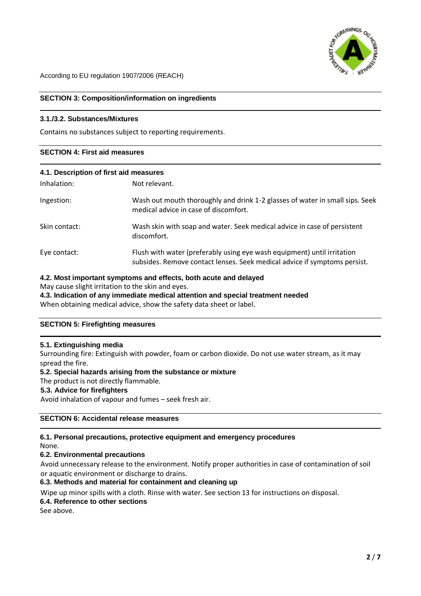

# **SECTION 3: Composition/information on ingredients**

### **3.1./3.2. Substances/Mixtures**

Contains no substances subject to reporting requirements.

# **SECTION 4: First aid measures**

### **4.1. Description of first aid measures**

| Inhalation:   | Not relevant.                                                                                                                                        |
|---------------|------------------------------------------------------------------------------------------------------------------------------------------------------|
| Ingestion:    | Wash out mouth thoroughly and drink 1-2 glasses of water in small sips. Seek<br>medical advice in case of discomfort.                                |
| Skin contact: | Wash skin with soap and water. Seek medical advice in case of persistent<br>discomfort.                                                              |
| Eye contact:  | Flush with water (preferably using eye wash equipment) until irritation<br>subsides. Remove contact lenses. Seek medical advice if symptoms persist. |

# **4.2. Most important symptoms and effects, both acute and delayed**

May cause slight irritation to the skin and eyes.

**4.3. Indication of any immediate medical attention and special treatment needed** When obtaining medical advice, show the safety data sheet or label.

# **SECTION 5: Firefighting measures**

### **5.1. Extinguishing media**

Surrounding fire: Extinguish with powder, foam or carbon dioxide. Do not use water stream, as it may spread the fire.

#### **5.2. Special hazards arising from the substance or mixture**

The product is not directly flammable.

### **5.3. Advice for firefighters**

Avoid inhalation of vapour and fumes – seek fresh air.

# **SECTION 6: Accidental release measures**

# **6.1. Personal precautions, protective equipment and emergency procedures**

None.

#### **6.2. Environmental precautions**

Avoid unnecessary release to the environment. Notify proper authorities in case of contamination of soil or aquatic environment or discharge to drains.

## **6.3. Methods and material for containment and cleaning up**

Wipe up minor spills with a cloth. Rinse with water. See section 13 for instructions on disposal.

### **6.4. Reference to other sections**

See above.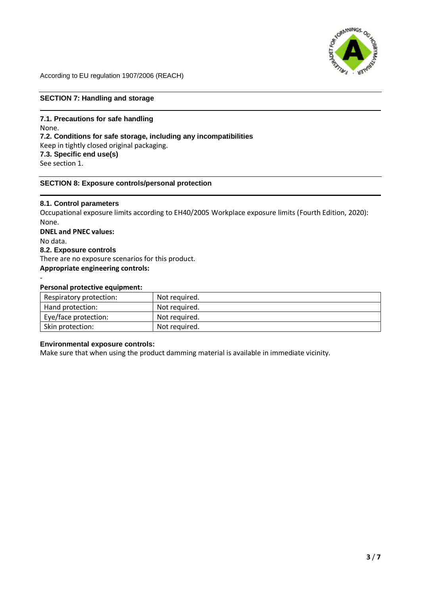

# **SECTION 7: Handling and storage**

**7.1. Precautions for safe handling** None. **7.2. Conditions for safe storage, including any incompatibilities** Keep in tightly closed original packaging. **7.3. Specific end use(s)** See section 1.

### **SECTION 8: Exposure controls/personal protection**

**8.1. Control parameters** Occupational exposure limits according to EH40/2005 Workplace exposure limits (Fourth Edition, 2020): None. **DNEL and PNEC values:** No data. **8.2. Exposure controls** There are no exposure scenarios for this product. **Appropriate engineering controls:** -

### **Personal protective equipment:**

| Respiratory protection: | Not required. |
|-------------------------|---------------|
| Hand protection:        | Not required. |
| Eye/face protection:    | Not required. |
| Skin protection:        | Not required. |

### **Environmental exposure controls:**

Make sure that when using the product damming material is available in immediate vicinity.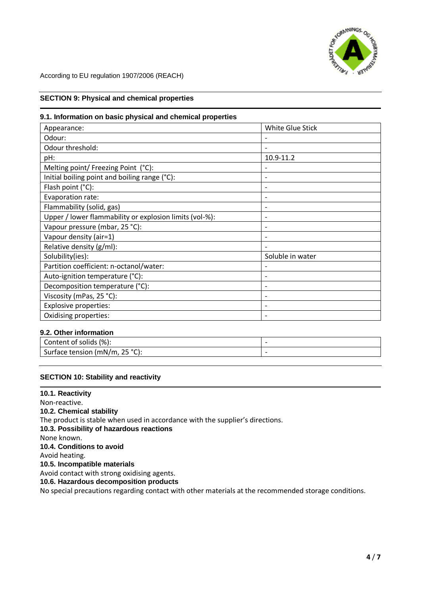

# **SECTION 9: Physical and chemical properties**

### **9.1. Information on basic physical and chemical properties**

| Appearance:                                             | White Glue Stick         |
|---------------------------------------------------------|--------------------------|
| Odour:                                                  |                          |
| Odour threshold:                                        |                          |
| pH:                                                     | 10.9-11.2                |
| Melting point/ Freezing Point (°C):                     |                          |
| Initial boiling point and boiling range (°C):           |                          |
| Flash point (°C):                                       |                          |
| Evaporation rate:                                       | $\overline{\phantom{0}}$ |
| Flammability (solid, gas)                               |                          |
| Upper / lower flammability or explosion limits (vol-%): |                          |
| Vapour pressure (mbar, 25 °C):                          |                          |
| Vapour density (air=1)                                  |                          |
| Relative density (g/ml):                                |                          |
| Solubility(ies):                                        | Soluble in water         |
| Partition coefficient: n-octanol/water:                 |                          |
| Auto-ignition temperature (°C):                         |                          |
| Decomposition temperature (°C):                         |                          |
| Viscosity (mPas, 25 °C):                                |                          |
| <b>Explosive properties:</b>                            |                          |
| Oxidising properties:                                   |                          |

# **9.2. Other information**

| (%).<br>Content of<br>solids :              |  |
|---------------------------------------------|--|
| 25°C<br>Surface tension (mN/m,<br>UI.<br>رے |  |

# **SECTION 10: Stability and reactivity**

**10.1. Reactivity**  Non-reactive. **10.2. Chemical stability** The product is stable when used in accordance with the supplier's directions. **10.3. Possibility of hazardous reactions** None known. **10.4. Conditions to avoid** Avoid heating. **10.5. Incompatible materials** Avoid contact with strong oxidising agents. **10.6. Hazardous decomposition products** No special precautions regarding contact with other materials at the recommended storage conditions.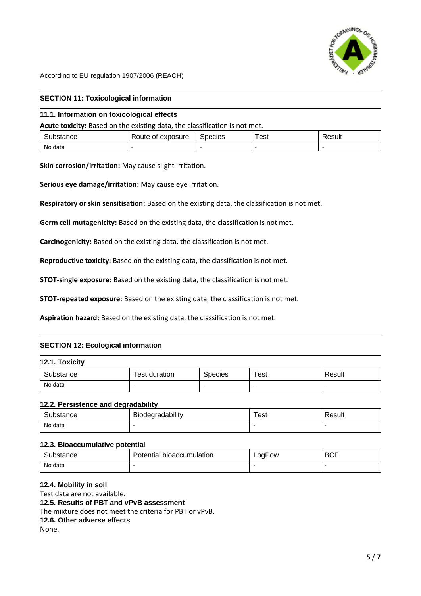

# **SECTION 11: Toxicological information**

### **11.1. Information on toxicological effects**

**Acute toxicity:** Based on the existing data, the classification is not met.

| -<br>$\sim$<br>siance | -<br>exposure<br>∴ ∆vr<br>Οt<br>≺oute | Species | _<br>est | ⊀esult |
|-----------------------|---------------------------------------|---------|----------|--------|
| No data               |                                       |         |          |        |

**Skin corrosion/irritation:** May cause slight irritation.

**Serious eye damage/irritation:** May cause eye irritation.

**Respiratory or skin sensitisation:** Based on the existing data, the classification is not met.

**Germ cell mutagenicity:** Based on the existing data, the classification is not met.

**Carcinogenicity:** Based on the existing data, the classification is not met.

**Reproductive toxicity:** Based on the existing data, the classification is not met.

**STOT-single exposure:** Based on the existing data, the classification is not met.

**STOT-repeated exposure:** Based on the existing data, the classification is not met.

**Aspiration hazard:** Based on the existing data, the classification is not met.

# **SECTION 12: Ecological information**

### **12.1. Toxicity**

| Substance | : duration<br>est | <b>Species</b> | Test | Result                   |
|-----------|-------------------|----------------|------|--------------------------|
| No data   | -                 | -              |      | $\overline{\phantom{0}}$ |

#### **12.2. Persistence and degradability**

| Substance | Biodegradability | ˈest | Result |
|-----------|------------------|------|--------|
| No data   | -                |      |        |

# **12.3. Bioaccumulative potential**

| Substance | 'otential bioaccumulation | LogPow | <b>BCF</b> |
|-----------|---------------------------|--------|------------|
| No data   | -                         |        | ۰.         |

# **12.4. Mobility in soil**

Test data are not available.

#### **12.5. Results of PBT and vPvB assessment**

The mixture does not meet the criteria for PBT or vPvB.

**12.6. Other adverse effects**

None.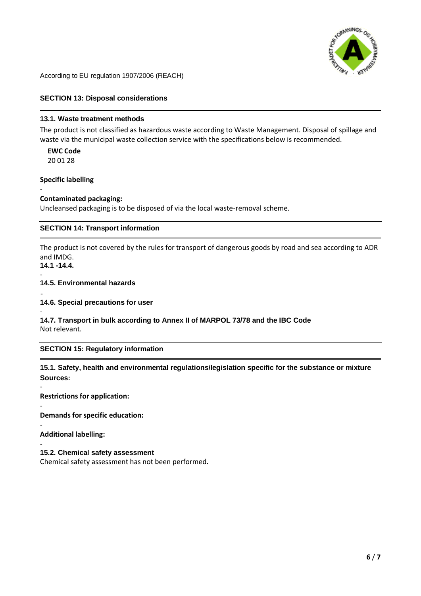

# **SECTION 13: Disposal considerations**

# **13.1. Waste treatment methods**

The product is not classified as hazardous waste according to Waste Management. Disposal of spillage and waste via the municipal waste collection service with the specifications below is recommended.

**EWC Code**  20 01 28

**Specific labelling**

#### - **Contaminated packaging:**

Uncleansed packaging is to be disposed of via the local waste-removal scheme.

# **SECTION 14: Transport information**

The product is not covered by the rules for transport of dangerous goods by road and sea according to ADR and IMDG.

**14.1 -14.4.**  -

-

# **14.5. Environmental hazards**

- **14.6. Special precautions for user**

- **14.7. Transport in bulk according to Annex II of MARPOL 73/78 and the IBC Code** Not relevant.

# **SECTION 15: Regulatory information**

# **15.1. Safety, health and environmental regulations/legislation specific for the substance or mixture Sources:**

**Restrictions for application:**

- **Demands for specific education:**

- **Additional labelling:**

#### - **15.2. Chemical safety assessment**

Chemical safety assessment has not been performed.